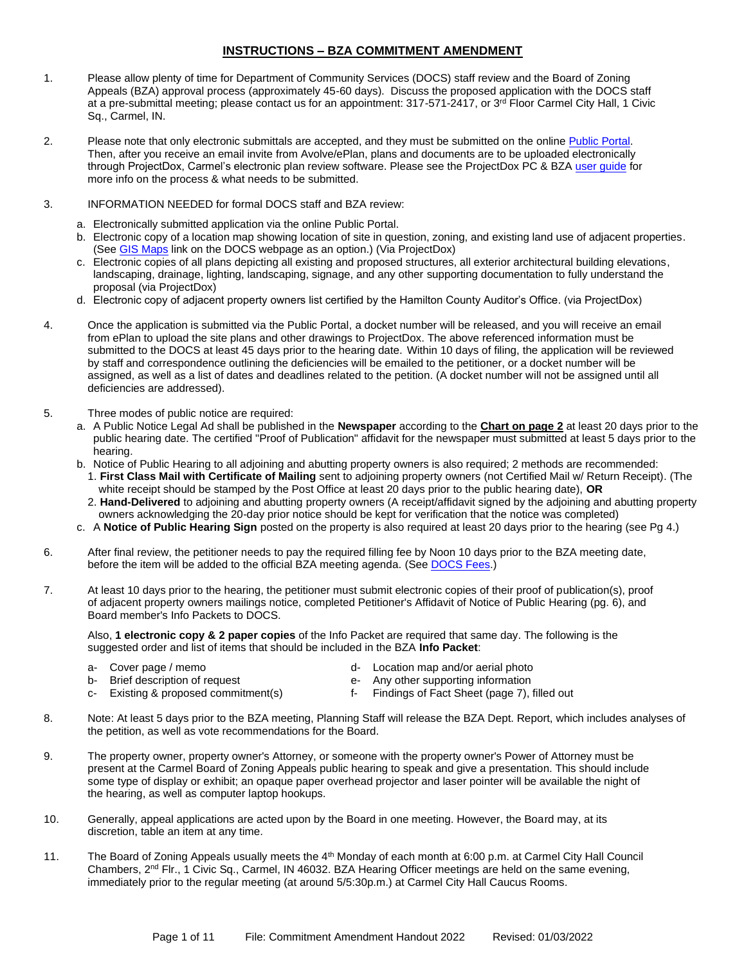### **INSTRUCTIONS – BZA COMMITMENT AMENDMENT**

- 1. Please allow plenty of time for Department of Community Services (DOCS) staff review and the Board of Zoning Appeals (BZA) approval process (approximately 45-60 days). Discuss the proposed application with the DOCS staff at a pre-submittal meeting; please contact us for an appointment: 317-571-2417, or 3<sup>rd</sup> Floor Carmel City Hall, 1 Civic Sq., Carmel, IN.
- 2. Please note that only electronic submittals are accepted, and they must be submitted on the online Public Portal. Then, after you receive an email invite from Avolve/ePlan, plans and documents are to be uploaded electronically through ProjectDox, Carmel's electronic plan review software. Please see the ProjectDox PC & BZA user quide for more info on the process & what needs to be submitted.
- 3. INFORMATION NEEDED for formal DOCS staff and BZA review:
	- a. Electronically submitted application via the online Public Portal.
	- b. Electronic copy of a location map showing location of site in question, zoning, and existing land use of adjacent properties. (See [GIS Maps](https://carmelgis.carmel.in.gov/maps/apps/webappviewer/index.html?id=3005d15bb8ee47c48538605fa421a359&extent=-9600433.8691%2C4865462.0861%2C-9599860.5914%2C4865778.5832%2C102100) link on the DOCS webpage as an option.) (Via ProjectDox)
	- c. Electronic copies of all plans depicting all existing and proposed structures, all exterior architectural building elevations, landscaping, drainage, lighting, landscaping, signage, and any other supporting documentation to fully understand the proposal (via ProjectDox)
	- d. Electronic copy of adjacent property owners list certified by the Hamilton County Auditor's Office. (via ProjectDox)
- 4. Once the application is submitted via the Public Portal, a docket number will be released, and you will receive an email from ePlan to upload the site plans and other drawings to ProjectDox. The above referenced information must be submitted to the DOCS at least 45 days prior to the hearing date. Within 10 days of filing, the application will be reviewed by staff and correspondence outlining the deficiencies will be emailed to the petitioner, or a docket number will be assigned, as well as a list of dates and deadlines related to the petition. (A docket number will not be assigned until all deficiencies are addressed).
- 5. Three modes of public notice are required:
	- a. A Public Notice Legal Ad shall be published in the **Newspaper** according to the **Chart on page 2** at least 20 days prior to the public hearing date. The certified "Proof of Publication" affidavit for the newspaper must submitted at least 5 days prior to the hearing.
	- b. Notice of Public Hearing to all adjoining and abutting property owners is also required; 2 methods are recommended: 1. **First Class Mail with Certificate of Mailing** sent to adjoining property owners (not Certified Mail w/ Return Receipt). (The
		- white receipt should be stamped by the Post Office at least 20 days prior to the public hearing date), **OR** 2. **Hand-Delivered** to adjoining and abutting property owners (A receipt/affidavit signed by the adjoining and abutting property owners acknowledging the 20-day prior notice should be kept for verification that the notice was completed)
	- c. A **Notice of Public Hearing Sign** posted on the property is also required at least 20 days prior to the hearing (see Pg 4.)
- 6. After final review, the petitioner needs to pay the required filling fee by Noon 10 days prior to the BZA meeting date, before the item will be added to the official BZA meeting agenda. (Se[e DOCS Fees.](https://www.carmel.in.gov/department-services/community-services-planning-and-zoning-/applications-fees-and-permits))
- 7. At least 10 days prior to the hearing, the petitioner must submit electronic copies of their proof of publication(s), proof of adjacent property owners mailings notice, completed Petitioner's Affidavit of Notice of Public Hearing (pg. 6), and Board member's Info Packets to DOCS.

Also, **1 electronic copy & 2 paper copies** of the Info Packet are required that same day. The following is the suggested order and list of items that should be included in the BZA **Info Packet**:

- 
- a- Cover page / memo d- Location map and/or aerial photo
- b- Brief description of request e- Any other supporting information
- 
- 
- c- Existing & proposed commitment(s) f- Findings of Fact Sheet (page 7), filled out
- 8. Note: At least 5 days prior to the BZA meeting, Planning Staff will release the BZA Dept. Report, which includes analyses of the petition, as well as vote recommendations for the Board.
- 9. The property owner, property owner's Attorney, or someone with the property owner's Power of Attorney must be present at the Carmel Board of Zoning Appeals public hearing to speak and give a presentation. This should include some type of display or exhibit; an opaque paper overhead projector and laser pointer will be available the night of the hearing, as well as computer laptop hookups.
- 10. Generally, appeal applications are acted upon by the Board in one meeting. However, the Board may, at its discretion, table an item at any time.
- 11. The Board of Zoning Appeals usually meets the 4<sup>th</sup> Monday of each month at 6:00 p.m. at Carmel City Hall Council Chambers, 2<sup>nd</sup> Flr., 1 Civic Sq., Carmel, IN 46032. BZA Hearing Officer meetings are held on the same evening, immediately prior to the regular meeting (at around 5/5:30p.m.) at Carmel City Hall Caucus Rooms.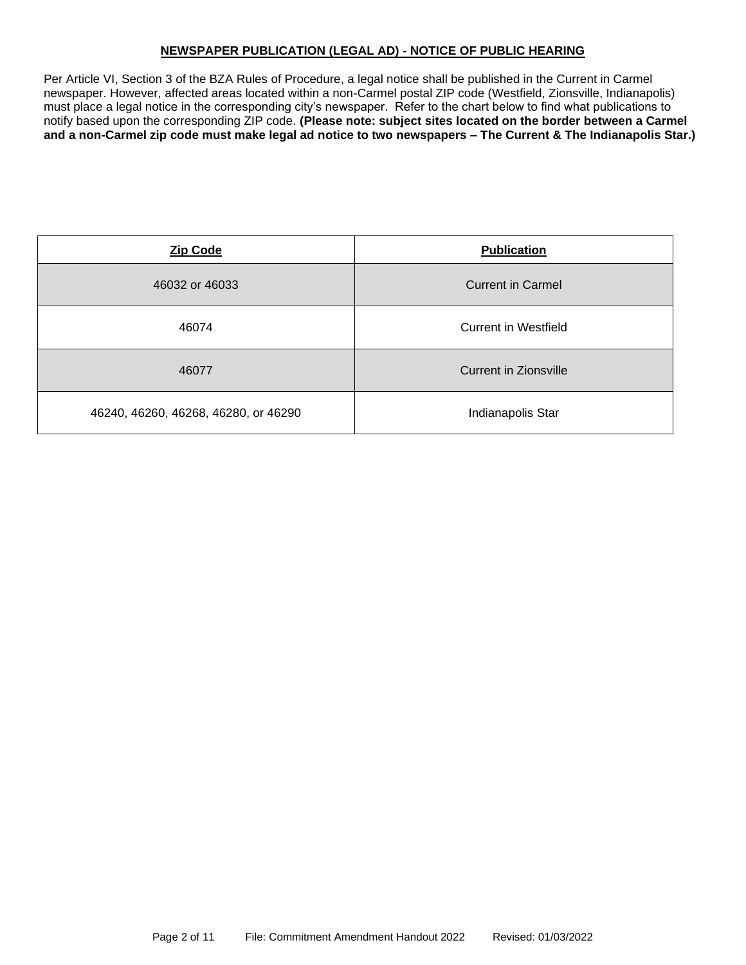### **NEWSPAPER PUBLICATION (LEGAL AD) - NOTICE OF PUBLIC HEARING**

Per Article VI, Section 3 of the BZA Rules of Procedure, a legal notice shall be published in the Current in Carmel newspaper. However, affected areas located within a non-Carmel postal ZIP code (Westfield, Zionsville, Indianapolis) must place a legal notice in the corresponding city's newspaper. Refer to the chart below to find what publications to notify based upon the corresponding ZIP code. **(Please note: subject sites located on the border between a Carmel and a non-Carmel zip code must make legal ad notice to two newspapers – The Current & The Indianapolis Star.)**

| <b>Zip Code</b>                      | <b>Publication</b>       |  |
|--------------------------------------|--------------------------|--|
| 46032 or 46033                       | <b>Current in Carmel</b> |  |
| 46074                                | Current in Westfield     |  |
| 46077                                | Current in Zionsville    |  |
| 46240, 46260, 46268, 46280, or 46290 | Indianapolis Star        |  |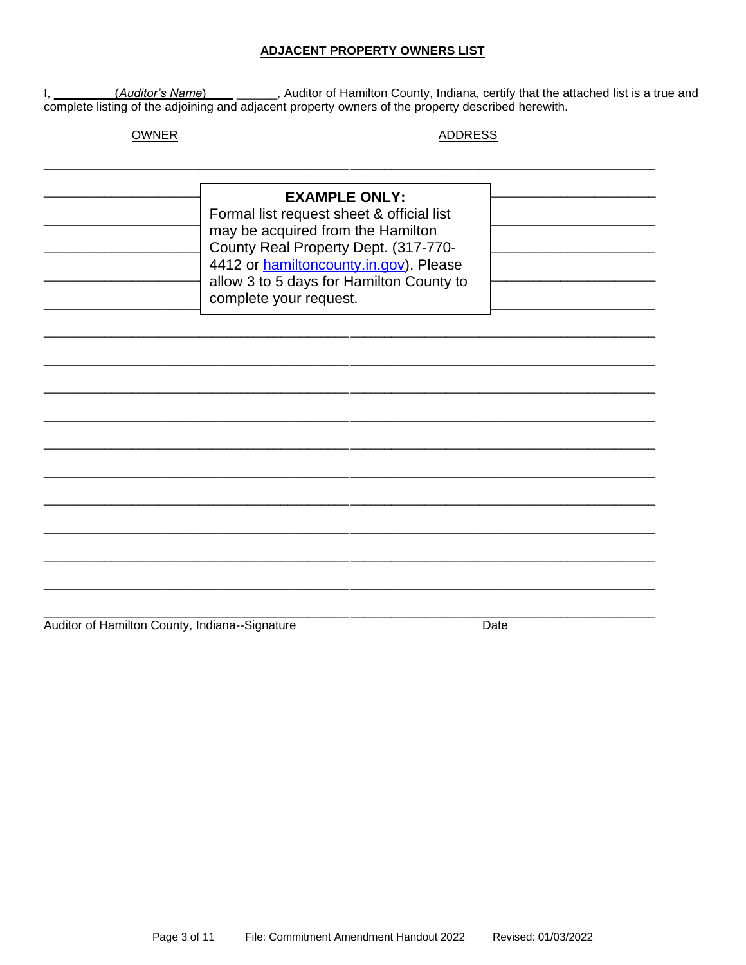### **ADJACENT PROPERTY OWNERS LIST**

I, \_\_\_\_\_\_\_\_(Auditor's Name) \_\_\_\_\_\_\_\_, Auditor of Hamilton County, Indiana, certify that the attached list is a true and complete listing of the adjoining and adjacent property owners of the property described herewith.

### **OWNER**

#### **ADDRESS**

| <b>EXAMPLE ONLY:</b><br>Formal list request sheet & official list<br>may be acquired from the Hamilton<br>County Real Property Dept. (317-770-<br>4412 or hamiltoncounty.in.gov). Please<br>allow 3 to 5 days for Hamilton County to<br>complete your request. |  |  |
|----------------------------------------------------------------------------------------------------------------------------------------------------------------------------------------------------------------------------------------------------------------|--|--|
|                                                                                                                                                                                                                                                                |  |  |
|                                                                                                                                                                                                                                                                |  |  |
|                                                                                                                                                                                                                                                                |  |  |

Auditor of Hamilton County, Indiana--Signature

Date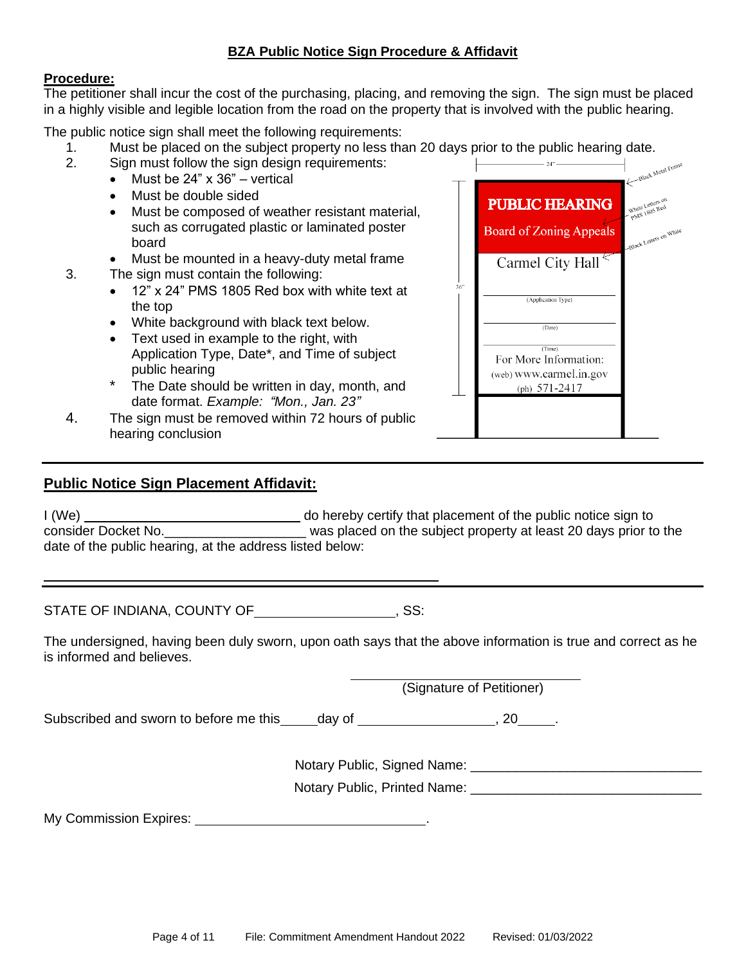# **BZA Public Notice Sign Procedure & Affidavit**

## **Procedure:**

The petitioner shall incur the cost of the purchasing, placing, and removing the sign. The sign must be placed in a highly visible and legible location from the road on the property that is involved with the public hearing.

The public notice sign shall meet the following requirements:

- 1. Must be placed on the subject property no less than 20 days prior to the public hearing date.<br>2. Sign must follow the sign design requirements:
- Sign must follow the sign design requirements:
	- Must be  $24" \times 36"$  vertical
	- Must be double sided
	- Must be composed of weather resistant material, such as corrugated plastic or laminated poster board
	- Must be mounted in a heavy-duty metal frame
- 3. The sign must contain the following:
	- 12" x 24" PMS 1805 Red box with white text at the top
	- White background with black text below.
	- Text used in example to the right, with Application Type, Date\*, and Time of subject public hearing
	- The Date should be written in day, month, and date format. *Example: "Mon., Jan. 23"*
- 4. The sign must be removed within 72 hours of public hearing conclusion

## **Public Notice Sign Placement Affidavit:**

I (We) do hereby certify that placement of the public notice sign to consider Docket No.\_\_\_\_\_\_\_\_\_\_\_\_\_\_\_\_\_\_\_ was placed on the subject property at least 20 days prior to the date of the public hearing, at the address listed below:

STATE OF INDIANA, COUNTY OF , SS:

The undersigned, having been duly sworn, upon oath says that the above information is true and correct as he is informed and believes.

(Signature of Petitioner)

 $36^\circ$ 

Subscribed and sworn to before me this day of  $\qquad \qquad$ , 20 .

Notary Public, Signed Name:  $\blacksquare$ 

Notary Public, Printed Name: \_\_\_\_\_\_\_\_\_\_\_\_\_\_\_\_\_\_\_\_\_\_\_\_\_\_\_\_\_\_\_

Black Metal Frame

Black Letters or

**PUBLIC HEARING** 

**Board of Zoning Appeals** 

Carmel City Hall

(Application Type)

(Date)  $(Time)$ For More Information: (web) www.carmel.in.gov (ph)  $571-2417$ 

My Commission Expires: .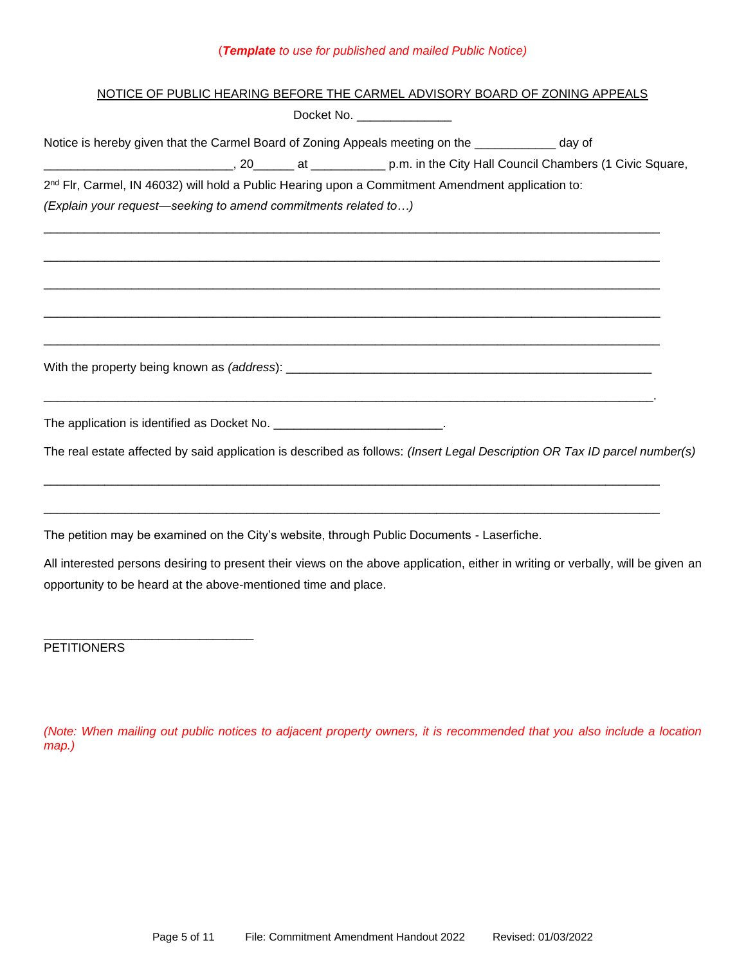# (*Template to use for published and mailed Public Notice)*

| NOTICE OF PUBLIC HEARING BEFORE THE CARMEL ADVISORY BOARD OF ZONING APPEALS                                                      |
|----------------------------------------------------------------------------------------------------------------------------------|
| Docket No. $\frac{1}{2}$                                                                                                         |
| Notice is hereby given that the Carmel Board of Zoning Appeals meeting on the ____________ day of                                |
|                                                                                                                                  |
| 2 <sup>nd</sup> Flr, Carmel, IN 46032) will hold a Public Hearing upon a Commitment Amendment application to:                    |
| (Explain your request-seeking to amend commitments related to)                                                                   |
|                                                                                                                                  |
|                                                                                                                                  |
|                                                                                                                                  |
|                                                                                                                                  |
|                                                                                                                                  |
| The application is identified as Docket No. ___________________________.                                                         |
| The real estate affected by said application is described as follows: (Insert Legal Description OR Tax ID parcel number(s)       |
|                                                                                                                                  |
| The petition may be examined on the City's website, through Public Documents - Laserfiche.                                       |
| All interested persons desiring to present their views on the above application, either in writing or verbally, will be given an |
| opportunity to be heard at the above-mentioned time and place.                                                                   |
|                                                                                                                                  |

**PETITIONERS** 

*(Note: When mailing out public notices to adjacent property owners, it is recommended that you also include a location map.)*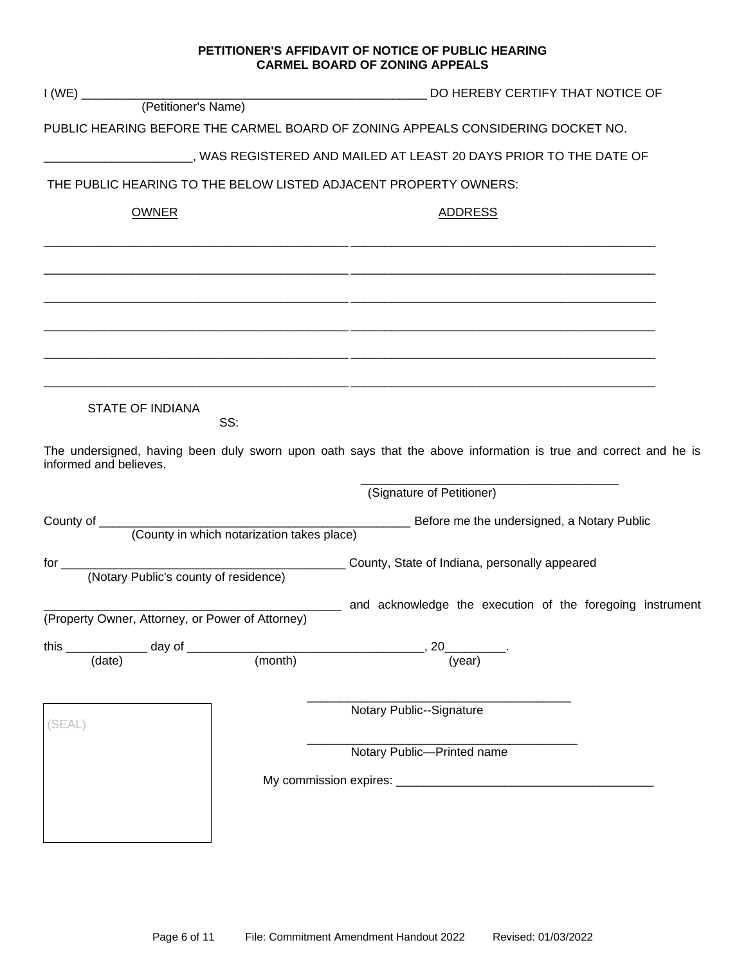### **PETITIONER'S AFFIDAVIT OF NOTICE OF PUBLIC HEARING CARMEL BOARD OF ZONING APPEALS**

|                                                                  | DO HEREBY CERTIFY THAT NOTICE OF                                                                                |  |  |  |
|------------------------------------------------------------------|-----------------------------------------------------------------------------------------------------------------|--|--|--|
|                                                                  |                                                                                                                 |  |  |  |
|                                                                  | PUBLIC HEARING BEFORE THE CARMEL BOARD OF ZONING APPEALS CONSIDERING DOCKET NO.                                 |  |  |  |
|                                                                  | _______________, WAS REGISTERED AND MAILED AT LEAST 20 DAYS PRIOR TO THE DATE OF                                |  |  |  |
| THE PUBLIC HEARING TO THE BELOW LISTED ADJACENT PROPERTY OWNERS: |                                                                                                                 |  |  |  |
| <b>OWNER</b>                                                     | <b>ADDRESS</b>                                                                                                  |  |  |  |
|                                                                  |                                                                                                                 |  |  |  |
|                                                                  |                                                                                                                 |  |  |  |
|                                                                  |                                                                                                                 |  |  |  |
|                                                                  |                                                                                                                 |  |  |  |
|                                                                  |                                                                                                                 |  |  |  |
|                                                                  |                                                                                                                 |  |  |  |
|                                                                  |                                                                                                                 |  |  |  |
|                                                                  |                                                                                                                 |  |  |  |
| <b>STATE OF INDIANA</b>                                          |                                                                                                                 |  |  |  |
| SS:                                                              |                                                                                                                 |  |  |  |
| informed and believes.                                           | The undersigned, having been duly sworn upon oath says that the above information is true and correct and he is |  |  |  |
|                                                                  |                                                                                                                 |  |  |  |
|                                                                  | (Signature of Petitioner)                                                                                       |  |  |  |
|                                                                  |                                                                                                                 |  |  |  |
|                                                                  |                                                                                                                 |  |  |  |
| (Notary Public's county of residence)                            |                                                                                                                 |  |  |  |
|                                                                  | and acknowledge the execution of the foregoing instrument<br>$\overline{\phantom{a}}$                           |  |  |  |
| (Property Owner, Attorney, or Power of Attorney)                 |                                                                                                                 |  |  |  |
|                                                                  | 20                                                                                                              |  |  |  |
| $\overline{(\text{date})}$<br>(month)                            | (year)                                                                                                          |  |  |  |
|                                                                  |                                                                                                                 |  |  |  |
|                                                                  | Notary Public--Signature                                                                                        |  |  |  |
| (SEAL)                                                           |                                                                                                                 |  |  |  |
|                                                                  | Notary Public-Printed name                                                                                      |  |  |  |
|                                                                  |                                                                                                                 |  |  |  |
|                                                                  |                                                                                                                 |  |  |  |
|                                                                  |                                                                                                                 |  |  |  |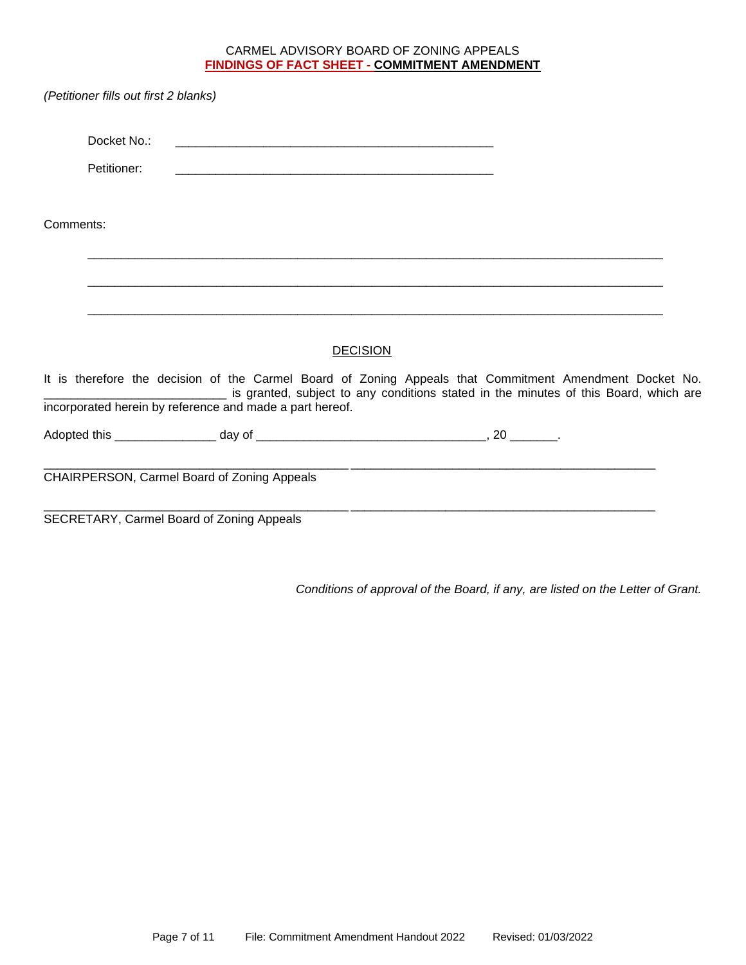### CARMEL ADVISORY BOARD OF ZONING APPEALS **FINDINGS OF FACT SHEET - COMMITMENT AMENDMENT**

|           | (Petitioner fills out first 2 blanks) |                                                          |                 |                                                                                                                                                                                                 |  |
|-----------|---------------------------------------|----------------------------------------------------------|-----------------|-------------------------------------------------------------------------------------------------------------------------------------------------------------------------------------------------|--|
|           | Docket No.:                           |                                                          |                 |                                                                                                                                                                                                 |  |
|           | Petitioner:                           |                                                          |                 |                                                                                                                                                                                                 |  |
| Comments: |                                       |                                                          |                 |                                                                                                                                                                                                 |  |
|           |                                       |                                                          |                 |                                                                                                                                                                                                 |  |
|           |                                       |                                                          |                 |                                                                                                                                                                                                 |  |
|           |                                       |                                                          | <b>DECISION</b> |                                                                                                                                                                                                 |  |
|           |                                       | incorporated herein by reference and made a part hereof. |                 | It is therefore the decision of the Carmel Board of Zoning Appeals that Commitment Amendment Docket No.<br>is granted, subject to any conditions stated in the minutes of this Board, which are |  |
|           |                                       |                                                          |                 |                                                                                                                                                                                                 |  |
|           |                                       | CHAIRPERSON, Carmel Board of Zoning Appeals              |                 |                                                                                                                                                                                                 |  |
|           |                                       | SECRETARY, Carmel Board of Zoning Appeals                |                 |                                                                                                                                                                                                 |  |

*Conditions of approval of the Board, if any, are listed on the Letter of Grant.*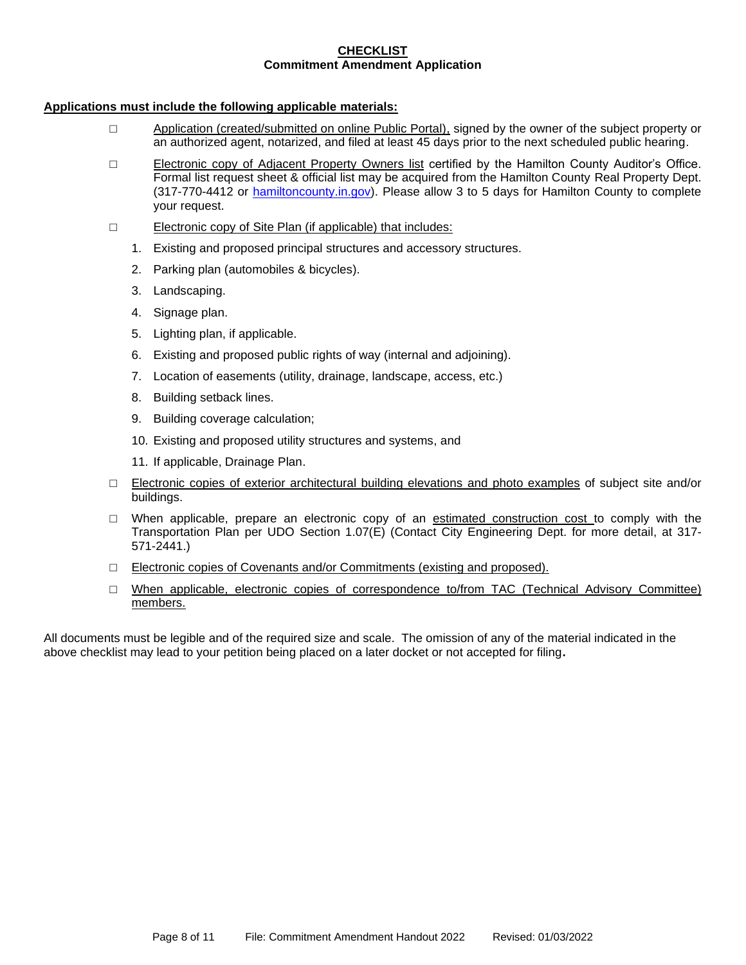#### **CHECKLIST Commitment Amendment Application**

### **Applications must include the following applicable materials:**

- □ Application (created/submitted on online Public Portal), signed by the owner of the subject property or an authorized agent, notarized, and filed at least 45 days prior to the next scheduled public hearing.
- □ Electronic copy of Adjacent Property Owners list certified by the Hamilton County Auditor's Office. Formal list request sheet & official list may be acquired from the Hamilton County Real Property Dept. (317-770-4412 or [hamiltoncounty.in.gov\)](https://www.hamiltoncounty.in.gov/369/Adjoiner-Property-Notifications). Please allow 3 to 5 days for Hamilton County to complete your request.
- □ Electronic copy of Site Plan (if applicable) that includes:
	- 1. Existing and proposed principal structures and accessory structures.
	- 2. Parking plan (automobiles & bicycles).
	- 3. Landscaping.
	- 4. Signage plan.
	- 5. Lighting plan, if applicable.
	- 6. Existing and proposed public rights of way (internal and adjoining).
	- 7. Location of easements (utility, drainage, landscape, access, etc.)
	- 8. Building setback lines.
	- 9. Building coverage calculation;
	- 10. Existing and proposed utility structures and systems, and
	- 11. If applicable, Drainage Plan.
- □ Electronic copies of exterior architectural building elevations and photo examples of subject site and/or buildings.
- $\Box$  When applicable, prepare an electronic copy of an estimated construction cost to comply with the Transportation Plan per UDO Section 1.07(E) (Contact City Engineering Dept. for more detail, at 317- 571-2441.)
- □ Electronic copies of Covenants and/or Commitments (existing and proposed).
- □ When applicable, electronic copies of correspondence to/from TAC (Technical Advisory Committee) members.

All documents must be legible and of the required size and scale. The omission of any of the material indicated in the above checklist may lead to your petition being placed on a later docket or not accepted for filing**.**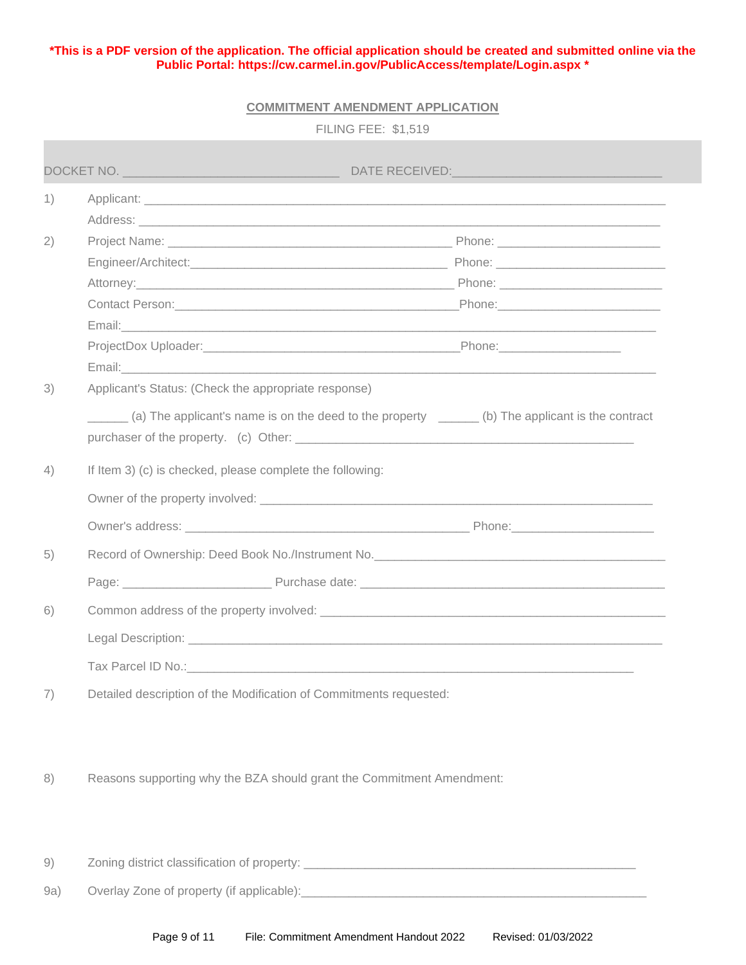## **\*This is a PDF version of the application. The official application should be created and submitted online via the Public Portal:<https://cw.carmel.in.gov/PublicAccess/template/Login.aspx> \***

### **COMMITMENT AMENDMENT APPLICATION**

| Email: experience and a series of the series of the series of the series of the series of the series of the series of the series of the series of the series of the series of the series of the series of the series of the se |
|--------------------------------------------------------------------------------------------------------------------------------------------------------------------------------------------------------------------------------|
|                                                                                                                                                                                                                                |
| (a) The applicant's name is on the deed to the property _______ (b) The applicant is the contract                                                                                                                              |
|                                                                                                                                                                                                                                |
|                                                                                                                                                                                                                                |
| Owner's address: Note and the Communication of the Communication of the Communication of the Communication of the Communication of the Communication of the Communication of the Communication of the Communication of the Com |
|                                                                                                                                                                                                                                |
|                                                                                                                                                                                                                                |
|                                                                                                                                                                                                                                |
|                                                                                                                                                                                                                                |
|                                                                                                                                                                                                                                |
|                                                                                                                                                                                                                                |
|                                                                                                                                                                                                                                |
|                                                                                                                                                                                                                                |
|                                                                                                                                                                                                                                |
|                                                                                                                                                                                                                                |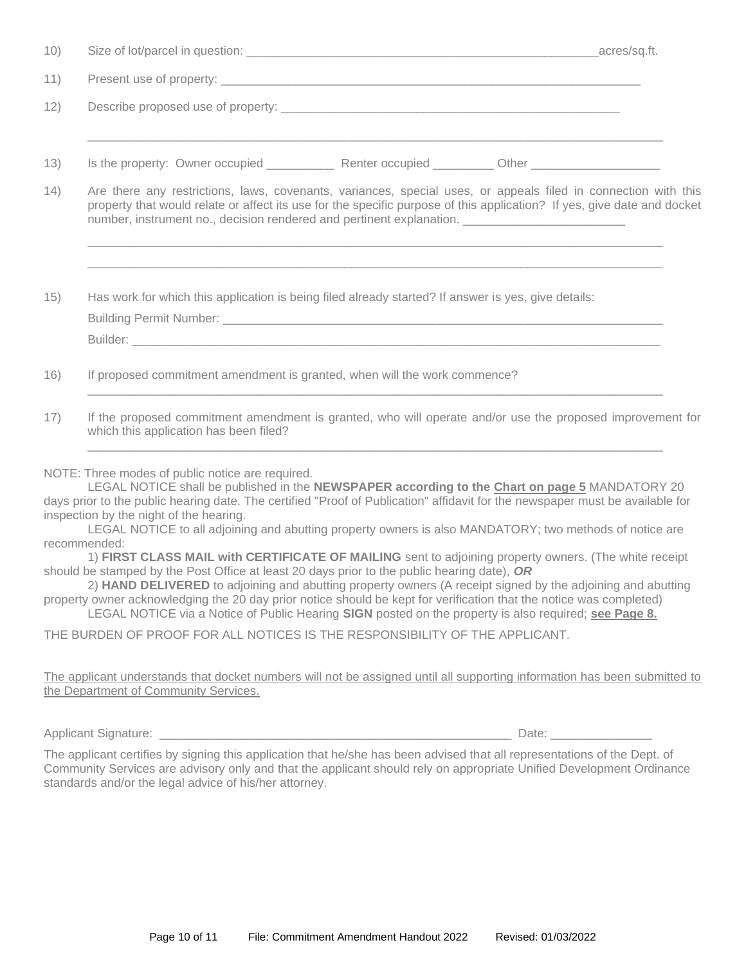| 10)  |                                                                                                                                                                                                                                                                                                                                                                                                                                                                                                                                                                                                                                                                                                                                                                                    |  |  |  |
|------|------------------------------------------------------------------------------------------------------------------------------------------------------------------------------------------------------------------------------------------------------------------------------------------------------------------------------------------------------------------------------------------------------------------------------------------------------------------------------------------------------------------------------------------------------------------------------------------------------------------------------------------------------------------------------------------------------------------------------------------------------------------------------------|--|--|--|
| 11)  |                                                                                                                                                                                                                                                                                                                                                                                                                                                                                                                                                                                                                                                                                                                                                                                    |  |  |  |
| 12)  |                                                                                                                                                                                                                                                                                                                                                                                                                                                                                                                                                                                                                                                                                                                                                                                    |  |  |  |
| 13)  | Is the property: Owner occupied Renter occupied Cther Changes Cther Changes Cther Changes Cther Changes Cther Changes Cther Changes Cther Changes Cther Changes Cther Changes Cther Changes Cther Changes Cther Changes Cther                                                                                                                                                                                                                                                                                                                                                                                                                                                                                                                                                      |  |  |  |
| (14) | Are there any restrictions, laws, covenants, variances, special uses, or appeals filed in connection with this<br>property that would relate or affect its use for the specific purpose of this application? If yes, give date and docket<br>number, instrument no., decision rendered and pertinent explanation. ______________________________                                                                                                                                                                                                                                                                                                                                                                                                                                   |  |  |  |
| 15)  | Has work for which this application is being filed already started? If answer is yes, give details:                                                                                                                                                                                                                                                                                                                                                                                                                                                                                                                                                                                                                                                                                |  |  |  |
|      |                                                                                                                                                                                                                                                                                                                                                                                                                                                                                                                                                                                                                                                                                                                                                                                    |  |  |  |
| 16)  | If proposed commitment amendment is granted, when will the work commence?                                                                                                                                                                                                                                                                                                                                                                                                                                                                                                                                                                                                                                                                                                          |  |  |  |
| 17)  | If the proposed commitment amendment is granted, who will operate and/or use the proposed improvement for<br>which this application has been filed?                                                                                                                                                                                                                                                                                                                                                                                                                                                                                                                                                                                                                                |  |  |  |
|      | NOTE: Three modes of public notice are required.<br>LEGAL NOTICE shall be published in the NEWSPAPER according to the Chart on page 5 MANDATORY 20<br>days prior to the public hearing date. The certified "Proof of Publication" affidavit for the newspaper must be available for<br>inspection by the night of the hearing.<br>LEGAL NOTICE to all adjoining and abutting property owners is also MANDATORY; two methods of notice are<br>recommended:<br>1) FIRST CLASS MAIL with CERTIFICATE OF MAILING sent to adjoining property owners. (The white receipt<br>should be stamped by the Post Office at least 20 days prior to the public hearing date), $OR$<br>2) HAND DELIVERED to adjoining and abutting property owners (A receipt signed by the adjoining and abutting |  |  |  |

property owner acknowledging the 20 day prior notice should be kept for verification that the notice was completed) LEGAL NOTICE via a Notice of Public Hearing **SIGN** posted on the property is also required; **see Page 8.**

THE BURDEN OF PROOF FOR ALL NOTICES IS THE RESPONSIBILITY OF THE APPLICANT.

The applicant understands that docket numbers will not be assigned until all supporting information has been submitted to the Department of Community Services.

Applicant Signature: \_\_\_\_\_\_\_\_\_\_\_\_\_\_\_\_\_\_\_\_\_\_\_\_\_\_\_\_\_\_\_\_\_\_\_\_\_\_\_\_\_\_\_\_\_\_\_\_\_\_\_\_ Date: \_\_\_\_\_\_\_\_\_\_\_\_\_\_\_

The applicant certifies by signing this application that he/she has been advised that all representations of the Dept. of Community Services are advisory only and that the applicant should rely on appropriate Unified Development Ordinance standards and/or the legal advice of his/her attorney.